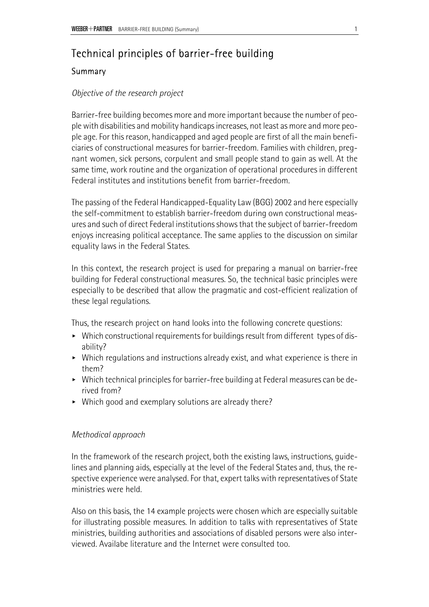# Technical principles of barrier-free building

# Summary

# *Objective of the research project*

Barrier-free building becomes more and more important because the number of people with disabilities and mobility handicaps increases, not least as more and more people age. For this reason, handicapped and aged people are first of all the main beneficiaries of constructional measures for barrier-freedom. Families with children, pregnant women, sick persons, corpulent and small people stand to gain as well. At the same time, work routine and the organization of operational procedures in different Federal institutes and institutions benefit from barrier-freedom.

The passing of the Federal Handicapped-Equality Law (BGG) 2002 and here especially the self-commitment to establish barrier-freedom during own constructional measures and such of direct Federal institutions shows that the subject of barrier-freedom enjoys increasing political acceptance. The same applies to the discussion on similar equality laws in the Federal States.

In this context, the research project is used for preparing a manual on barrier-free building for Federal constructional measures. So, the technical basic principles were especially to be described that allow the pragmatic and cost-efficient realization of these legal regulations.

Thus, the research project on hand looks into the following concrete questions:

- $\triangleright$  Which constructional requirements for buildings result from different types of disability?
- $\triangleright$  Which regulations and instructions already exist, and what experience is there in them?
- ► Which technical principles for barrier-free building at Federal measures can be derived from?
- $\triangleright$  Which good and exemplary solutions are already there?

## *Methodical approach*

In the framework of the research project, both the existing laws, instructions, guidelines and planning aids, especially at the level of the Federal States and, thus, the respective experience were analysed. For that, expert talks with representatives of State ministries were held.

Also on this basis, the 14 example projects were chosen which are especially suitable for illustrating possible measures. In addition to talks with representatives of State ministries, building authorities and associations of disabled persons were also interviewed. Availabe literature and the Internet were consulted too.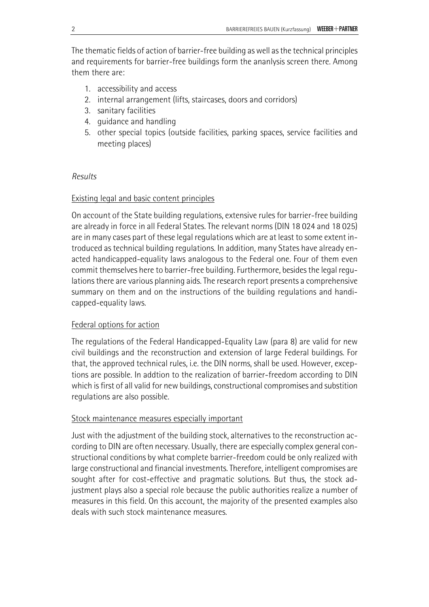The thematic fields of action of barrier-free building as well as the technical principles and requirements for barrier-free buildings form the ananlysis screen there. Among them there are:

- 1. accessibility and access
- 2. internal arrangement (lifts, staircases, doors and corridors)
- 3. sanitary facilities
- 4. guidance and handling
- 5. other special topics (outside facilities, parking spaces, service facilities and meeting places)

## *Results*

# Existing legal and basic content principles

On account of the State building regulations, extensive rules for barrier-free building are already in force in all Federal States. The relevant norms (DIN 18 024 and 18 025) are in many cases part of these legal regulations which are at least to some extent introduced as technical building regulations. In addition, many States have already enacted handicapped-equality laws analogous to the Federal one. Four of them even commit themselves here to barrier-free building. Furthermore, besides the legal regulations there are various planning aids. The research report presents a comprehensive summary on them and on the instructions of the building regulations and handicapped-equality laws.

## Federal options for action

The regulations of the Federal Handicapped-Equality Law (para 8) are valid for new civil buildings and the reconstruction and extension of large Federal buildings. For that, the approved technical rules, i.e. the DIN norms, shall be used. However, exceptions are possible. In addtion to the realization of barrier-freedom according to DIN which is first of all valid for new buildings, constructional compromises and substition regulations are also possible.

## Stock maintenance measures especially important

Just with the adjustment of the building stock, alternatives to the reconstruction according to DIN are often necessary. Usually, there are especially complex general constructional conditions by what complete barrier-freedom could be only realized with large constructional and financial investments. Therefore, intelligent compromises are sought after for cost-effective and pragmatic solutions. But thus, the stock adjustment plays also a special role because the public authorities realize a number of measures in this field. On this account, the majority of the presented examples also deals with such stock maintenance measures.